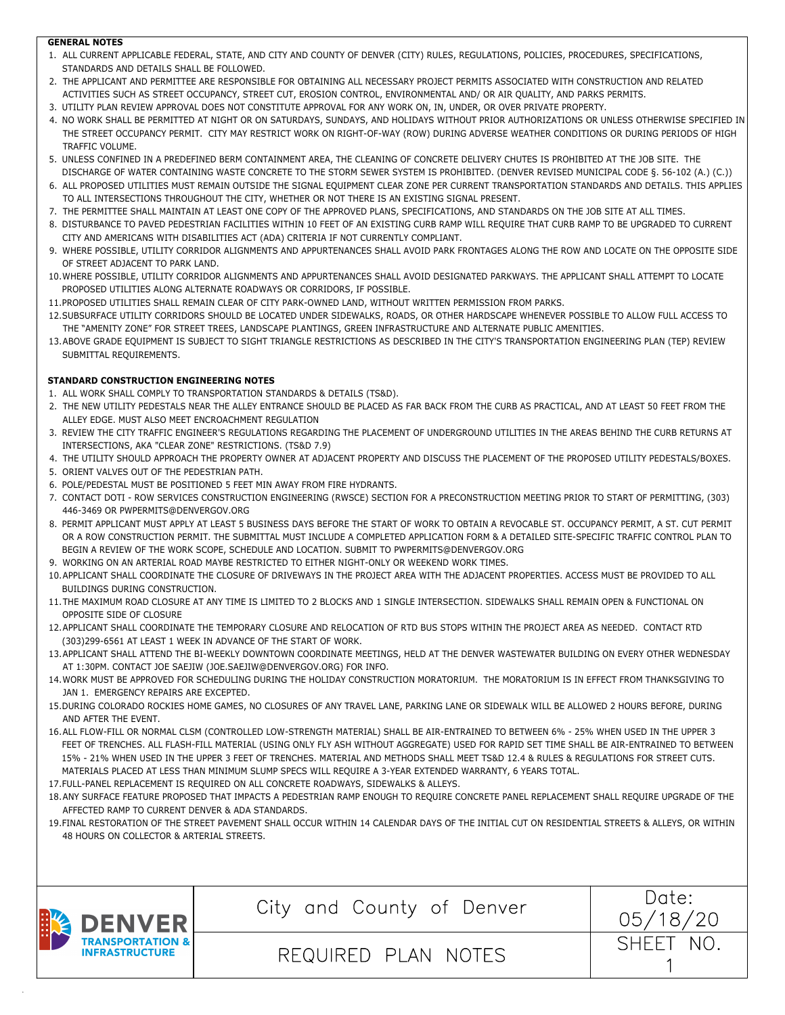#### **GENERAL NOTES**

- 1. ALL CURRENT APPLICABLE FEDERAL, STATE, AND CITY AND COUNTY OF DENVER (CITY) RULES, REGULATIONS, POLICIES, PROCEDURES, SPECIFICATIONS, STANDARDS AND DETAILS SHALL BE FOLLOWED.
- 2. THE APPLICANT AND PERMITTEE ARE RESPONSIBLE FOR OBTAINING ALL NECESSARY PROJECT PERMITS ASSOCIATED WITH CONSTRUCTION AND RELATED ACTIVITIES SUCH AS STREET OCCUPANCY, STREET CUT, EROSION CONTROL, ENVIRONMENTAL AND/ OR AIR QUALITY, AND PARKS PERMITS.
- 3. UTILITY PLAN REVIEW APPROVAL DOES NOT CONSTITUTE APPROVAL FOR ANY WORK ON, IN, UNDER, OR OVER PRIVATE PROPERTY.
- 4. NO WORK SHALL BE PERMITTED AT NIGHT OR ON SATURDAYS, SUNDAYS, AND HOLIDAYS WITHOUT PRIOR AUTHORIZATIONS OR UNLESS OTHERWISE SPECIFIED IN THE STREET OCCUPANCY PERMIT. CITY MAY RESTRICT WORK ON RIGHT-OF-WAY (ROW) DURING ADVERSE WEATHER CONDITIONS OR DURING PERIODS OF HIGH TRAFFIC VOLUME.
- 5. UNLESS CONFINED IN A PREDEFINED BERM CONTAINMENT AREA, THE CLEANING OF CONCRETE DELIVERY CHUTES IS PROHIBITED AT THE JOB SITE. THE DISCHARGE OF WATER CONTAINING WASTE CONCRETE TO THE STORM SEWER SYSTEM IS PROHIBITED. (DENVER REVISED MUNICIPAL CODE §. 56-102 (A.) (C.))
- 6. ALL PROPOSED UTILITIES MUST REMAIN OUTSIDE THE SIGNAL EQUIPMENT CLEAR ZONE PER CURRENT TRANSPORTATION STANDARDS AND DETAILS. THIS APPLIES TO ALL INTERSECTIONS THROUGHOUT THE CITY, WHETHER OR NOT THERE IS AN EXISTING SIGNAL PRESENT.
- 7. THE PERMITTEE SHALL MAINTAIN AT LEAST ONE COPY OF THE APPROVED PLANS, SPECIFICATIONS, AND STANDARDS ON THE JOB SITE AT ALL TIMES.
- 8. DISTURBANCE TO PAVED PEDESTRIAN FACILITIES WITHIN 10 FEET OF AN EXISTING CURB RAMP WILL REQUIRE THAT CURB RAMP TO BE UPGRADED TO CURRENT CITY AND AMERICANS WITH DISABILITIES ACT (ADA) CRITERIA IF NOT CURRENTLY COMPLIANT.
- 9. WHERE POSSIBLE, UTILITY CORRIDOR ALIGNMENTS AND APPURTENANCES SHALL AVOID PARK FRONTAGES ALONG THE ROW AND LOCATE ON THE OPPOSITE SIDE OF STREET ADJACENT TO PARK LAND.
- 10.WHERE POSSIBLE, UTILITY CORRIDOR ALIGNMENTS AND APPURTENANCES SHALL AVOID DESIGNATED PARKWAYS. THE APPLICANT SHALL ATTEMPT TO LOCATE PROPOSED UTILITIES ALONG ALTERNATE ROADWAYS OR CORRIDORS, IF POSSIBLE.
- 11.PROPOSED UTILITIES SHALL REMAIN CLEAR OF CITY PARK-OWNED LAND, WITHOUT WRITTEN PERMISSION FROM PARKS.
- 12.SUBSURFACE UTILITY CORRIDORS SHOULD BE LOCATED UNDER SIDEWALKS, ROADS, OR OTHER HARDSCAPE WHENEVER POSSIBLE TO ALLOW FULL ACCESS TO THE "AMENITY ZONE" FOR STREET TREES, LANDSCAPE PLANTINGS, GREEN INFRASTRUCTURE AND ALTERNATE PUBLIC AMENITIES.
- 13.ABOVE GRADE EQUIPMENT IS SUBJECT TO SIGHT TRIANGLE RESTRICTIONS AS DESCRIBED IN THE CITY'S TRANSPORTATION ENGINEERING PLAN (TEP) REVIEW SUBMITTAL REQUIREMENTS.

# **STANDARD CONSTRUCTION ENGINEERING NOTES**

- 1. ALL WORK SHALL COMPLY TO TRANSPORTATION STANDARDS & DETAILS (TS&D).
- 2. THE NEW UTILITY PEDESTALS NEAR THE ALLEY ENTRANCE SHOULD BE PLACED AS FAR BACK FROM THE CURB AS PRACTICAL, AND AT LEAST 50 FEET FROM THE ALLEY EDGE. MUST ALSO MEET ENCROACHMENT REGULATION
- 3. REVIEW THE CITY TRAFFIC ENGINEER'S REGULATIONS REGARDING THE PLACEMENT OF UNDERGROUND UTILITIES IN THE AREAS BEHIND THE CURB RETURNS AT INTERSECTIONS, AKA "CLEAR ZONE" RESTRICTIONS. (TS&D 7.9)
- 4. THE UTILITY SHOULD APPROACH THE PROPERTY OWNER AT ADJACENT PROPERTY AND DISCUSS THE PLACEMENT OF THE PROPOSED UTILITY PEDESTALS/BOXES. 5. ORIENT VALVES OUT OF THE PEDESTRIAN PATH.
- 6. POLE/PEDESTAL MUST BE POSITIONED 5 FEET MIN AWAY FROM FIRE HYDRANTS.
- 7. CONTACT DOTI ROW SERVICES CONSTRUCTION ENGINEERING (RWSCE) SECTION FOR A PRECONSTRUCTION MEETING PRIOR TO START OF PERMITTING, (303) 446-3469 OR PWPERMITS@DENVERGOV.ORG
- 8. PERMIT APPLICANT MUST APPLY AT LEAST 5 BUSINESS DAYS BEFORE THE START OF WORK TO OBTAIN A REVOCABLE ST. OCCUPANCY PERMIT, A ST. CUT PERMIT OR A ROW CONSTRUCTION PERMIT. THE SUBMITTAL MUST INCLUDE A COMPLETED APPLICATION FORM & A DETAILED SITE-SPECIFIC TRAFFIC CONTROL PLAN TO BEGIN A REVIEW OF THE WORK SCOPE, SCHEDULE AND LOCATION. SUBMIT TO PWPERMITS@DENVERGOV.ORG
- 9. WORKING ON AN ARTERIAL ROAD MAYBE RESTRICTED TO EITHER NIGHT-ONLY OR WEEKEND WORK TIMES.
- 10.APPLICANT SHALL COORDINATE THE CLOSURE OF DRIVEWAYS IN THE PROJECT AREA WITH THE ADJACENT PROPERTIES. ACCESS MUST BE PROVIDED TO ALL BUILDINGS DURING CONSTRUCTION.
- 11.THE MAXIMUM ROAD CLOSURE AT ANY TIME IS LIMITED TO 2 BLOCKS AND 1 SINGLE INTERSECTION. SIDEWALKS SHALL REMAIN OPEN & FUNCTIONAL ON OPPOSITE SIDE OF CLOSURE
- 12.APPLICANT SHALL COORDINATE THE TEMPORARY CLOSURE AND RELOCATION OF RTD BUS STOPS WITHIN THE PROJECT AREA AS NEEDED. CONTACT RTD (303)299-6561 AT LEAST 1 WEEK IN ADVANCE OF THE START OF WORK.
- 13.APPLICANT SHALL ATTEND THE BI-WEEKLY DOWNTOWN COORDINATE MEETINGS, HELD AT THE DENVER WASTEWATER BUILDING ON EVERY OTHER WEDNESDAY AT 1:30PM. CONTACT JOE SAEJIW (JOE.SAEJIW@DENVERGOV.ORG) FOR INFO.
- 14.WORK MUST BE APPROVED FOR SCHEDULING DURING THE HOLIDAY CONSTRUCTION MORATORIUM. THE MORATORIUM IS IN EFFECT FROM THANKSGIVING TO JAN 1. EMERGENCY REPAIRS ARE EXCEPTED.
- 15.DURING COLORADO ROCKIES HOME GAMES, NO CLOSURES OF ANY TRAVEL LANE, PARKING LANE OR SIDEWALK WILL BE ALLOWED 2 HOURS BEFORE, DURING AND AFTER THE EVENT.
- 16.ALL FLOW-FILL OR NORMAL CLSM (CONTROLLED LOW-STRENGTH MATERIAL) SHALL BE AIR-ENTRAINED TO BETWEEN 6% 25% WHEN USED IN THE UPPER 3 FEET OF TRENCHES. ALL FLASH-FILL MATERIAL (USING ONLY FLY ASH WITHOUT AGGREGATE) USED FOR RAPID SET TIME SHALL BE AIR-ENTRAINED TO BETWEEN 15% - 21% WHEN USED IN THE UPPER 3 FEET OF TRENCHES. MATERIAL AND METHODS SHALL MEET TS&D 12.4 & RULES & REGULATIONS FOR STREET CUTS. MATERIALS PLACED AT LESS THAN MINIMUM SLUMP SPECS WILL REQUIRE A 3-YEAR EXTENDED WARRANTY, 6 YEARS TOTAL.
- 17.FULL-PANEL REPLACEMENT IS REQUIRED ON ALL CONCRETE ROADWAYS, SIDEWALKS & ALLEYS.
- 18.ANY SURFACE FEATURE PROPOSED THAT IMPACTS A PEDESTRIAN RAMP ENOUGH TO REQUIRE CONCRETE PANEL REPLACEMENT SHALL REQUIRE UPGRADE OF THE AFFECTED RAMP TO CURRENT DENVER & ADA STANDARDS.
- 19.FINAL RESTORATION OF THE STREET PAVEMENT SHALL OCCUR WITHIN 14 CALENDAR DAYS OF THE INITIAL CUT ON RESIDENTIAL STREETS & ALLEYS, OR WITHIN 48 HOURS ON COLLECTOR & ARTERIAL STREETS.



City and County of Denver  $\begin{array}{c|c} \text{Date:} \end{array}$ 

REQUIRED PLAN NOTES

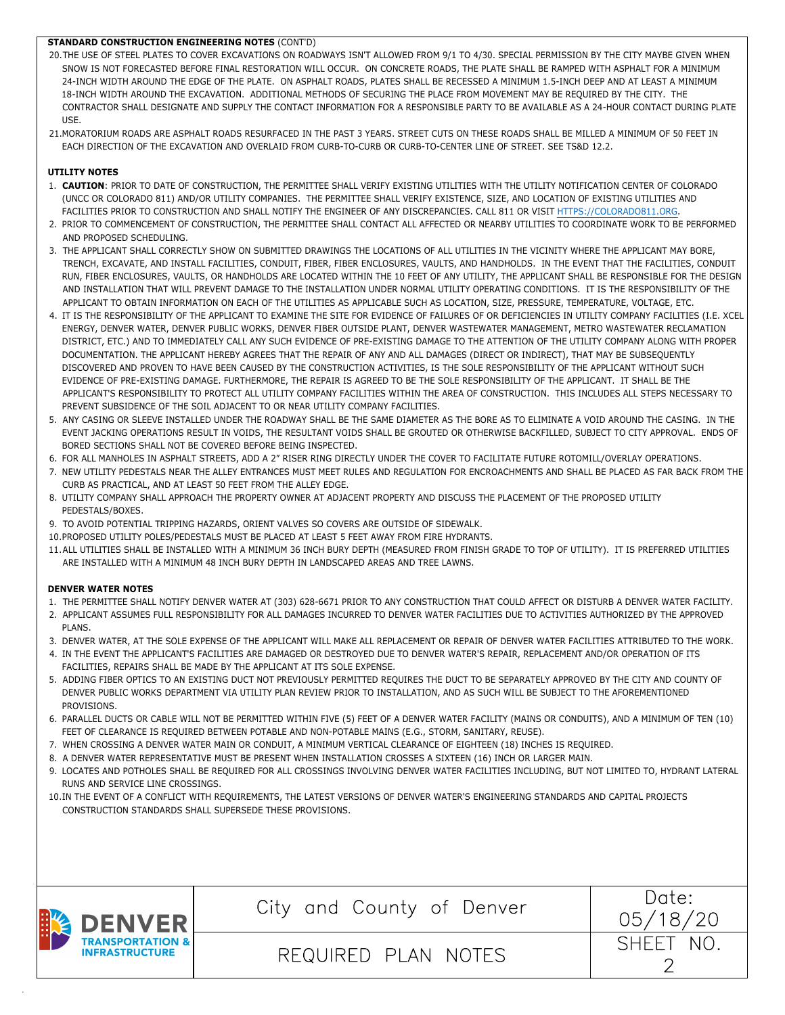# **STANDARD CONSTRUCTION ENGINEERING NOTES** (CONT'D)

- 20.THE USE OF STEEL PLATES TO COVER EXCAVATIONS ON ROADWAYS ISN'T ALLOWED FROM 9/1 TO 4/30. SPECIAL PERMISSION BY THE CITY MAYBE GIVEN WHEN SNOW IS NOT FORECASTED BEFORE FINAL RESTORATION WILL OCCUR. ON CONCRETE ROADS, THE PLATE SHALL BE RAMPED WITH ASPHALT FOR A MINIMUM 24-INCH WIDTH AROUND THE EDGE OF THE PLATE. ON ASPHALT ROADS, PLATES SHALL BE RECESSED A MINIMUM 1.5-INCH DEEP AND AT LEAST A MINIMUM 18-INCH WIDTH AROUND THE EXCAVATION. ADDITIONAL METHODS OF SECURING THE PLACE FROM MOVEMENT MAY BE REQUIRED BY THE CITY. THE CONTRACTOR SHALL DESIGNATE AND SUPPLY THE CONTACT INFORMATION FOR A RESPONSIBLE PARTY TO BE AVAILABLE AS A 24-HOUR CONTACT DURING PLATE USE.
- 21.MORATORIUM ROADS ARE ASPHALT ROADS RESURFACED IN THE PAST 3 YEARS. STREET CUTS ON THESE ROADS SHALL BE MILLED A MINIMUM OF 50 FEET IN EACH DIRECTION OF THE EXCAVATION AND OVERLAID FROM CURB-TO-CURB OR CURB-TO-CENTER LINE OF STREET. SEE TS&D 12.2.

# **UTILITY NOTES**

- 1. **CAUTION**: PRIOR TO DATE OF CONSTRUCTION, THE PERMITTEE SHALL VERIFY EXISTING UTILITIES WITH THE UTILITY NOTIFICATION CENTER OF COLORADO (UNCC OR COLORADO 811) AND/OR UTILITY COMPANIES. THE PERMITTEE SHALL VERIFY EXISTENCE, SIZE, AND LOCATION OF EXISTING UTILITIES AND FACILITIES PRIOR TO CONSTRUCTION AND SHALL NOTIFY THE ENGINEER OF ANY DISCREPANCIES. CALL 811 OR VISIT HTTPS://COLORADO811.ORG.
- 2. PRIOR TO COMMENCEMENT OF CONSTRUCTION, THE PERMITTEE SHALL CONTACT ALL AFFECTED OR NEARBY UTILITIES TO COORDINATE WORK TO BE PERFORMED AND PROPOSED SCHEDULING.
- 3. THE APPLICANT SHALL CORRECTLY SHOW ON SUBMITTED DRAWINGS THE LOCATIONS OF ALL UTILITIES IN THE VICINITY WHERE THE APPLICANT MAY BORE, TRENCH, EXCAVATE, AND INSTALL FACILITIES, CONDUIT, FIBER, FIBER ENCLOSURES, VAULTS, AND HANDHOLDS. IN THE EVENT THAT THE FACILITIES, CONDUIT RUN, FIBER ENCLOSURES, VAULTS, OR HANDHOLDS ARE LOCATED WITHIN THE 10 FEET OF ANY UTILITY, THE APPLICANT SHALL BE RESPONSIBLE FOR THE DESIGN AND INSTALLATION THAT WILL PREVENT DAMAGE TO THE INSTALLATION UNDER NORMAL UTILITY OPERATING CONDITIONS. IT IS THE RESPONSIBILITY OF THE APPLICANT TO OBTAIN INFORMATION ON EACH OF THE UTILITIES AS APPLICABLE SUCH AS LOCATION, SIZE, PRESSURE, TEMPERATURE, VOLTAGE, ETC.
- 4. IT IS THE RESPONSIBILITY OF THE APPLICANT TO EXAMINE THE SITE FOR EVIDENCE OF FAILURES OF OR DEFICIENCIES IN UTILITY COMPANY FACILITIES (I.E. XCEL ENERGY, DENVER WATER, DENVER PUBLIC WORKS, DENVER FIBER OUTSIDE PLANT, DENVER WASTEWATER MANAGEMENT, METRO WASTEWATER RECLAMATION DISTRICT, ETC.) AND TO IMMEDIATELY CALL ANY SUCH EVIDENCE OF PRE-EXISTING DAMAGE TO THE ATTENTION OF THE UTILITY COMPANY ALONG WITH PROPER DOCUMENTATION. THE APPLICANT HEREBY AGREES THAT THE REPAIR OF ANY AND ALL DAMAGES (DIRECT OR INDIRECT), THAT MAY BE SUBSEQUENTLY DISCOVERED AND PROVEN TO HAVE BEEN CAUSED BY THE CONSTRUCTION ACTIVITIES, IS THE SOLE RESPONSIBILITY OF THE APPLICANT WITHOUT SUCH EVIDENCE OF PRE-EXISTING DAMAGE. FURTHERMORE, THE REPAIR IS AGREED TO BE THE SOLE RESPONSIBILITY OF THE APPLICANT. IT SHALL BE THE APPLICANT'S RESPONSIBILITY TO PROTECT ALL UTILITY COMPANY FACILITIES WITHIN THE AREA OF CONSTRUCTION. THIS INCLUDES ALL STEPS NECESSARY TO PREVENT SUBSIDENCE OF THE SOIL ADJACENT TO OR NEAR UTILITY COMPANY FACILITIES.
- 5. ANY CASING OR SLEEVE INSTALLED UNDER THE ROADWAY SHALL BE THE SAME DIAMETER AS THE BORE AS TO ELIMINATE A VOID AROUND THE CASING. IN THE EVENT JACKING OPERATIONS RESULT IN VOIDS, THE RESULTANT VOIDS SHALL BE GROUTED OR OTHERWISE BACKFILLED, SUBJECT TO CITY APPROVAL. ENDS OF BORED SECTIONS SHALL NOT BE COVERED BEFORE BEING INSPECTED.
- 6. FOR ALL MANHOLES IN ASPHALT STREETS, ADD A 2" RISER RING DIRECTLY UNDER THE COVER TO FACILITATE FUTURE ROTOMILL/OVERLAY OPERATIONS.
- 7. NEW UTILITY PEDESTALS NEAR THE ALLEY ENTRANCES MUST MEET RULES AND REGULATION FOR ENCROACHMENTS AND SHALL BE PLACED AS FAR BACK FROM THE CURB AS PRACTICAL, AND AT LEAST 50 FEET FROM THE ALLEY EDGE.
- 8. UTILITY COMPANY SHALL APPROACH THE PROPERTY OWNER AT ADJACENT PROPERTY AND DISCUSS THE PLACEMENT OF THE PROPOSED UTILITY PEDESTALS/BOXES.
- 9. TO AVOID POTENTIAL TRIPPING HAZARDS, ORIENT VALVES SO COVERS ARE OUTSIDE OF SIDEWALK.
- 10.PROPOSED UTILITY POLES/PEDESTALS MUST BE PLACED AT LEAST 5 FEET AWAY FROM FIRE HYDRANTS.
- 11.ALL UTILITIES SHALL BE INSTALLED WITH A MINIMUM 36 INCH BURY DEPTH (MEASURED FROM FINISH GRADE TO TOP OF UTILITY). IT IS PREFERRED UTILITIES ARE INSTALLED WITH A MINIMUM 48 INCH BURY DEPTH IN LANDSCAPED AREAS AND TREE LAWNS.

## **DENVER WATER NOTES**

- 1. THE PERMITTEE SHALL NOTIFY DENVER WATER AT (303) 628-6671 PRIOR TO ANY CONSTRUCTION THAT COULD AFFECT OR DISTURB A DENVER WATER FACILITY.
- 2. APPLICANT ASSUMES FULL RESPONSIBILITY FOR ALL DAMAGES INCURRED TO DENVER WATER FACILITIES DUE TO ACTIVITIES AUTHORIZED BY THE APPROVED PLANS.
- 3. DENVER WATER, AT THE SOLE EXPENSE OF THE APPLICANT WILL MAKE ALL REPLACEMENT OR REPAIR OF DENVER WATER FACILITIES ATTRIBUTED TO THE WORK.
- 4. IN THE EVENT THE APPLICANT'S FACILITIES ARE DAMAGED OR DESTROYED DUE TO DENVER WATER'S REPAIR, REPLACEMENT AND/OR OPERATION OF ITS FACILITIES, REPAIRS SHALL BE MADE BY THE APPLICANT AT ITS SOLE EXPENSE.
- 5. ADDING FIBER OPTICS TO AN EXISTING DUCT NOT PREVIOUSLY PERMITTED REQUIRES THE DUCT TO BE SEPARATELY APPROVED BY THE CITY AND COUNTY OF DENVER PUBLIC WORKS DEPARTMENT VIA UTILITY PLAN REVIEW PRIOR TO INSTALLATION, AND AS SUCH WILL BE SUBJECT TO THE AFOREMENTIONED PROVISIONS.
- 6. PARALLEL DUCTS OR CABLE WILL NOT BE PERMITTED WITHIN FIVE (5) FEET OF A DENVER WATER FACILITY (MAINS OR CONDUITS), AND A MINIMUM OF TEN (10) FEET OF CLEARANCE IS REQUIRED BETWEEN POTABLE AND NON-POTABLE MAINS (E.G., STORM, SANITARY, REUSE).
- 7. WHEN CROSSING A DENVER WATER MAIN OR CONDUIT, A MINIMUM VERTICAL CLEARANCE OF EIGHTEEN (18) INCHES IS REQUIRED.
- 8. A DENVER WATER REPRESENTATIVE MUST BE PRESENT WHEN INSTALLATION CROSSES A SIXTEEN (16) INCH OR LARGER MAIN.
- 9. LOCATES AND POTHOLES SHALL BE REQUIRED FOR ALL CROSSINGS INVOLVING DENVER WATER FACILITIES INCLUDING, BUT NOT LIMITED TO, HYDRANT LATERAL RUNS AND SERVICE LINE CROSSINGS.
- 10.IN THE EVENT OF A CONFLICT WITH REQUIREMENTS, THE LATEST VERSIONS OF DENVER WATER'S ENGINEERING STANDARDS AND CAPITAL PROJECTS CONSTRUCTION STANDARDS SHALL SUPERSEDE THESE PROVISIONS.



City and County of Denver  $\begin{array}{|c|c|c|c|c|}\n\hline\n\text{City and County of Denver} & \pi\text{ (18)}\n\end{array}$ 



# REQUIRED PLAN NOTES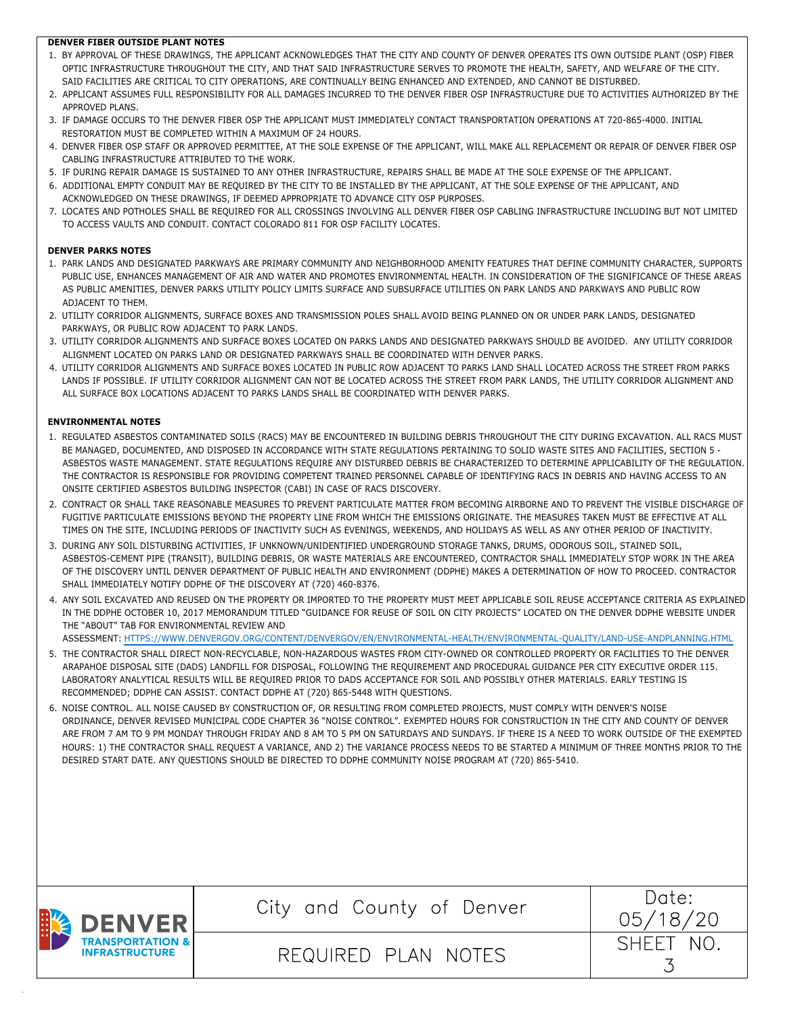## **DENVER FIBER OUTSIDE PLANT NOTES**

- 1. BY APPROVAL OF THESE DRAWINGS, THE APPLICANT ACKNOWLEDGES THAT THE CITY AND COUNTY OF DENVER OPERATES ITS OWN OUTSIDE PLANT (OSP) FIBER OPTIC INFRASTRUCTURE THROUGHOUT THE CITY, AND THAT SAID INFRASTRUCTURE SERVES TO PROMOTE THE HEALTH, SAFETY, AND WELFARE OF THE CITY. SAID FACILITIES ARE CRITICAL TO CITY OPERATIONS, ARE CONTINUALLY BEING ENHANCED AND EXTENDED, AND CANNOT BE DISTURBED.
- 2. APPLICANT ASSUMES FULL RESPONSIBILITY FOR ALL DAMAGES INCURRED TO THE DENVER FIBER OSP INFRASTRUCTURE DUE TO ACTIVITIES AUTHORIZED BY THE APPROVED PLANS.
- 3. IF DAMAGE OCCURS TO THE DENVER FIBER OSP THE APPLICANT MUST IMMEDIATELY CONTACT TRANSPORTATION OPERATIONS AT 720-865-4000. INITIAL RESTORATION MUST BE COMPLETED WITHIN A MAXIMUM OF 24 HOURS.
- 4. DENVER FIBER OSP STAFF OR APPROVED PERMITTEE, AT THE SOLE EXPENSE OF THE APPLICANT, WILL MAKE ALL REPLACEMENT OR REPAIR OF DENVER FIBER OSP CABLING INFRASTRUCTURE ATTRIBUTED TO THE WORK.
- 5. IF DURING REPAIR DAMAGE IS SUSTAINED TO ANY OTHER INFRASTRUCTURE, REPAIRS SHALL BE MADE AT THE SOLE EXPENSE OF THE APPLICANT.
- 6. ADDITIONAL EMPTY CONDUIT MAY BE REQUIRED BY THE CITY TO BE INSTALLED BY THE APPLICANT, AT THE SOLE EXPENSE OF THE APPLICANT, AND ACKNOWLEDGED ON THESE DRAWINGS, IF DEEMED APPROPRIATE TO ADVANCE CITY OSP PURPOSES.
- 7. LOCATES AND POTHOLES SHALL BE REQUIRED FOR ALL CROSSINGS INVOLVING ALL DENVER FIBER OSP CABLING INFRASTRUCTURE INCLUDING BUT NOT LIMITED TO ACCESS VAULTS AND CONDUIT. CONTACT COLORADO 811 FOR OSP FACILITY LOCATES.

# **DENVER PARKS NOTES**

- 1. PARK LANDS AND DESIGNATED PARKWAYS ARE PRIMARY COMMUNITY AND NEIGHBORHOOD AMENITY FEATURES THAT DEFINE COMMUNITY CHARACTER, SUPPORTS PUBLIC USE, ENHANCES MANAGEMENT OF AIR AND WATER AND PROMOTES ENVIRONMENTAL HEALTH. IN CONSIDERATION OF THE SIGNIFICANCE OF THESE AREAS AS PUBLIC AMENITIES, DENVER PARKS UTILITY POLICY LIMITS SURFACE AND SUBSURFACE UTILITIES ON PARK LANDS AND PARKWAYS AND PUBLIC ROW ADJACENT TO THEM.
- 2. UTILITY CORRIDOR ALIGNMENTS, SURFACE BOXES AND TRANSMISSION POLES SHALL AVOID BEING PLANNED ON OR UNDER PARK LANDS, DESIGNATED PARKWAYS, OR PUBLIC ROW ADJACENT TO PARK LANDS.
- 3. UTILITY CORRIDOR ALIGNMENTS AND SURFACE BOXES LOCATED ON PARKS LANDS AND DESIGNATED PARKWAYS SHOULD BE AVOIDED. ANY UTILITY CORRIDOR ALIGNMENT LOCATED ON PARKS LAND OR DESIGNATED PARKWAYS SHALL BE COORDINATED WITH DENVER PARKS.
- 4. UTILITY CORRIDOR ALIGNMENTS AND SURFACE BOXES LOCATED IN PUBLIC ROW ADJACENT TO PARKS LAND SHALL LOCATED ACROSS THE STREET FROM PARKS LANDS IF POSSIBLE. IF UTILITY CORRIDOR ALIGNMENT CAN NOT BE LOCATED ACROSS THE STREET FROM PARK LANDS, THE UTILITY CORRIDOR ALIGNMENT AND ALL SURFACE BOX LOCATIONS ADJACENT TO PARKS LANDS SHALL BE COORDINATED WITH DENVER PARKS.

## **ENVIRONMENTAL NOTES**

- 1. REGULATED ASBESTOS CONTAMINATED SOILS (RACS) MAY BE ENCOUNTERED IN BUILDING DEBRIS THROUGHOUT THE CITY DURING EXCAVATION. ALL RACS MUST BE MANAGED, DOCUMENTED, AND DISPOSED IN ACCORDANCE WITH STATE REGULATIONS PERTAINING TO SOLID WASTE SITES AND FACILITIES, SECTION 5 -ASBESTOS WASTE MANAGEMENT. STATE REGULATIONS REQUIRE ANY DISTURBED DEBRIS BE CHARACTERIZED TO DETERMINE APPLICABILITY OF THE REGULATION. THE CONTRACTOR IS RESPONSIBLE FOR PROVIDING COMPETENT TRAINED PERSONNEL CAPABLE OF IDENTIFYING RACS IN DEBRIS AND HAVING ACCESS TO AN ONSITE CERTIFIED ASBESTOS BUILDING INSPECTOR (CABI) IN CASE OF RACS DISCOVERY.
- 2. CONTRACT OR SHALL TAKE REASONABLE MEASURES TO PREVENT PARTICULATE MATTER FROM BECOMING AIRBORNE AND TO PREVENT THE VISIBLE DISCHARGE OF FUGITIVE PARTICULATE EMISSIONS BEYOND THE PROPERTY LINE FROM WHICH THE EMISSIONS ORIGINATE. THE MEASURES TAKEN MUST BE EFFECTIVE AT ALL TIMES ON THE SITE, INCLUDING PERIODS OF INACTIVITY SUCH AS EVENINGS, WEEKENDS, AND HOLIDAYS AS WELL AS ANY OTHER PERIOD OF INACTIVITY.
- 3. DURING ANY SOIL DISTURBING ACTIVITIES, IF UNKNOWN/UNIDENTIFIED UNDERGROUND STORAGE TANKS, DRUMS, ODOROUS SOIL, STAINED SOIL, ASBESTOS-CEMENT PIPE (TRANSIT), BUILDING DEBRIS, OR WASTE MATERIALS ARE ENCOUNTERED, CONTRACTOR SHALL IMMEDIATELY STOP WORK IN THE AREA OF THE DISCOVERY UNTIL DENVER DEPARTMENT OF PUBLIC HEALTH AND ENVIRONMENT (DDPHE) MAKES A DETERMINATION OF HOW TO PROCEED. CONTRACTOR SHALL IMMEDIATELY NOTIFY DDPHE OF THE DISCOVERY AT (720) 460-8376.
- 4. ANY SOIL EXCAVATED AND REUSED ON THE PROPERTY OR IMPORTED TO THE PROPERTY MUST MEET APPLICABLE SOIL REUSE ACCEPTANCE CRITERIA AS EXPLAINED IN THE DDPHE OCTOBER 10, 2017 MEMORANDUM TITLED "GUIDANCE FOR REUSE OF SOIL ON CITY PROJECTS" LOCATED ON THE DENVER DDPHE WEBSITE UNDER THE "ABOUT" TAB FOR ENVIRONMENTAL REVIEW AND

ASSESSMENT: HTTPS://WWW.DENVERGOV.ORG/CONTENT/DENVERGOV/EN/ENVIRONMENTAL-HEALTH/ENVIRONMENTAL-QUALITY/LAND-USE-ANDPLANNING.HTML

- 5. THE CONTRACTOR SHALL DIRECT NON-RECYCLABLE, NON-HAZARDOUS WASTES FROM CITY-OWNED OR CONTROLLED PROPERTY OR FACILITIES TO THE DENVER ARAPAHOE DISPOSAL SITE (DADS) LANDFILL FOR DISPOSAL, FOLLOWING THE REQUIREMENT AND PROCEDURAL GUIDANCE PER CITY EXECUTIVE ORDER 115. LABORATORY ANALYTICAL RESULTS WILL BE REQUIRED PRIOR TO DADS ACCEPTANCE FOR SOIL AND POSSIBLY OTHER MATERIALS. EARLY TESTING IS RECOMMENDED; DDPHE CAN ASSIST. CONTACT DDPHE AT (720) 865-5448 WITH QUESTIONS.
- 6. NOISE CONTROL. ALL NOISE CAUSED BY CONSTRUCTION OF, OR RESULTING FROM COMPLETED PROJECTS, MUST COMPLY WITH DENVER'S NOISE ORDINANCE, DENVER REVISED MUNICIPAL CODE CHAPTER 36 "NOISE CONTROL". EXEMPTED HOURS FOR CONSTRUCTION IN THE CITY AND COUNTY OF DENVER ARE FROM 7 AM TO 9 PM MONDAY THROUGH FRIDAY AND 8 AM TO 5 PM ON SATURDAYS AND SUNDAYS. IF THERE IS A NEED TO WORK OUTSIDE OF THE EXEMPTED HOURS: 1) THE CONTRACTOR SHALL REQUEST A VARIANCE, AND 2) THE VARIANCE PROCESS NEEDS TO BE STARTED A MINIMUM OF THREE MONTHS PRIOR TO THE DESIRED START DATE. ANY QUESTIONS SHOULD BE DIRECTED TO DDPHE COMMUNITY NOISE PROGRAM AT (720) 865-5410.



City and County of Denver  $\begin{array}{|c|c|c|c|c|}\n\hline\n\text{City and County of Denver} & \pi\text{ (18)}\n\end{array}$ 



REQUIRED PLAN NOTES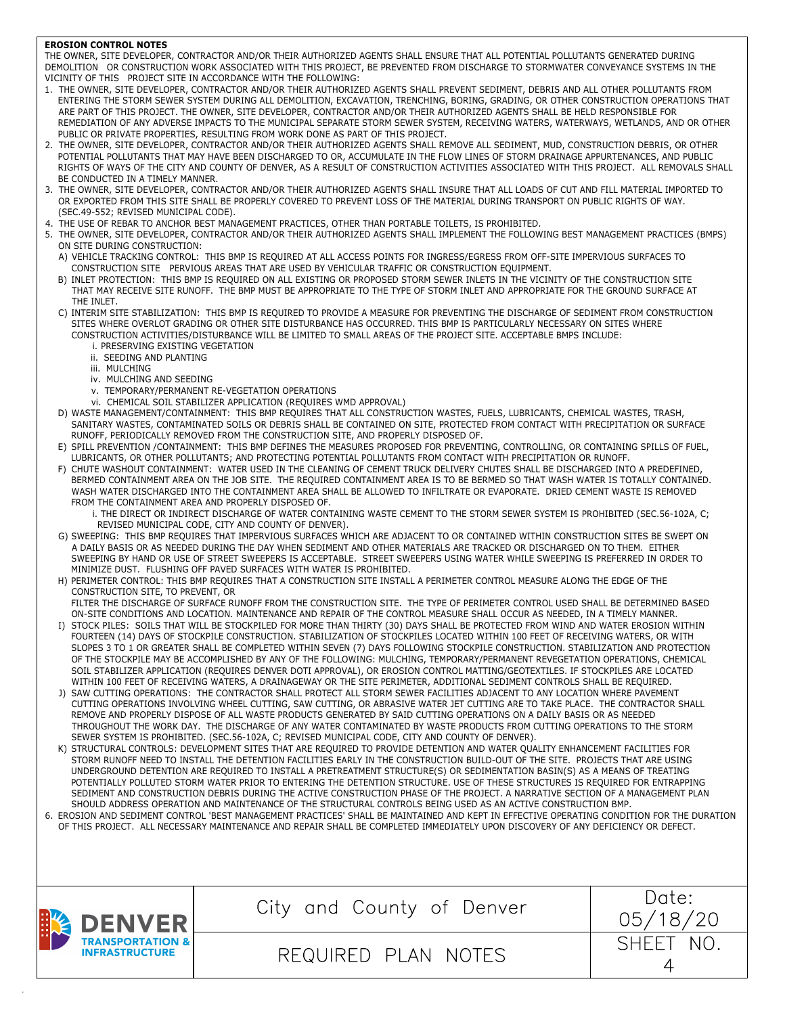#### **EROSION CONTROL NOTES**

 THE OWNER, SITE DEVELOPER, CONTRACTOR AND/OR THEIR AUTHORIZED AGENTS SHALL ENSURE THAT ALL POTENTIAL POLLUTANTS GENERATED DURING DEMOLITION OR CONSTRUCTION WORK ASSOCIATED WITH THIS PROJECT, BE PREVENTED FROM DISCHARGE TO STORMWATER CONVEYANCE SYSTEMS IN THE VICINITY OF THIS PROJECT SITE IN ACCORDANCE WITH THE FOLLOWING:

- 1. THE OWNER, SITE DEVELOPER, CONTRACTOR AND/OR THEIR AUTHORIZED AGENTS SHALL PREVENT SEDIMENT, DEBRIS AND ALL OTHER POLLUTANTS FROM ENTERING THE STORM SEWER SYSTEM DURING ALL DEMOLITION, EXCAVATION, TRENCHING, BORING, GRADING, OR OTHER CONSTRUCTION OPERATIONS THAT ARE PART OF THIS PROJECT. THE OWNER, SITE DEVELOPER, CONTRACTOR AND/OR THEIR AUTHORIZED AGENTS SHALL BE HELD RESPONSIBLE FOR REMEDIATION OF ANY ADVERSE IMPACTS TO THE MUNICIPAL SEPARATE STORM SEWER SYSTEM, RECEIVING WATERS, WATERWAYS, WETLANDS, AND OR OTHER PUBLIC OR PRIVATE PROPERTIES, RESULTING FROM WORK DONE AS PART OF THIS PROJECT.
- 2. THE OWNER, SITE DEVELOPER, CONTRACTOR AND/OR THEIR AUTHORIZED AGENTS SHALL REMOVE ALL SEDIMENT, MUD, CONSTRUCTION DEBRIS, OR OTHER POTENTIAL POLLUTANTS THAT MAY HAVE BEEN DISCHARGED TO OR, ACCUMULATE IN THE FLOW LINES OF STORM DRAINAGE APPURTENANCES, AND PUBLIC RIGHTS OF WAYS OF THE CITY AND COUNTY OF DENVER, AS A RESULT OF CONSTRUCTION ACTIVITIES ASSOCIATED WITH THIS PROJECT. ALL REMOVALS SHALL BE CONDUCTED IN A TIMELY MANNER.
- 3. THE OWNER, SITE DEVELOPER, CONTRACTOR AND/OR THEIR AUTHORIZED AGENTS SHALL INSURE THAT ALL LOADS OF CUT AND FILL MATERIAL IMPORTED TO OR EXPORTED FROM THIS SITE SHALL BE PROPERLY COVERED TO PREVENT LOSS OF THE MATERIAL DURING TRANSPORT ON PUBLIC RIGHTS OF WAY. (SEC.49-552; REVISED MUNICIPAL CODE).
- 4. THE USE OF REBAR TO ANCHOR BEST MANAGEMENT PRACTICES, OTHER THAN PORTABLE TOILETS, IS PROHIBITED.
- 5. THE OWNER, SITE DEVELOPER, CONTRACTOR AND/OR THEIR AUTHORIZED AGENTS SHALL IMPLEMENT THE FOLLOWING BEST MANAGEMENT PRACTICES (BMPS) ON SITE DURING CONSTRUCTION:
	- A) VEHICLE TRACKING CONTROL: THIS BMP IS REQUIRED AT ALL ACCESS POINTS FOR INGRESS/EGRESS FROM OFF-SITE IMPERVIOUS SURFACES TO CONSTRUCTION SITE PERVIOUS AREAS THAT ARE USED BY VEHICULAR TRAFFIC OR CONSTRUCTION EQUIPMENT.
	- B) INLET PROTECTION: THIS BMP IS REQUIRED ON ALL EXISTING OR PROPOSED STORM SEWER INLETS IN THE VICINITY OF THE CONSTRUCTION SITE THAT MAY RECEIVE SITE RUNOFF. THE BMP MUST BE APPROPRIATE TO THE TYPE OF STORM INLET AND APPROPRIATE FOR THE GROUND SURFACE AT THE INLET.
	- C) INTERIM SITE STABILIZATION: THIS BMP IS REQUIRED TO PROVIDE A MEASURE FOR PREVENTING THE DISCHARGE OF SEDIMENT FROM CONSTRUCTION SITES WHERE OVERLOT GRADING OR OTHER SITE DISTURBANCE HAS OCCURRED. THIS BMP IS PARTICULARLY NECESSARY ON SITES WHERE CONSTRUCTION ACTIVITIES/DISTURBANCE WILL BE LIMITED TO SMALL AREAS OF THE PROJECT SITE. ACCEPTABLE BMPS INCLUDE:
		- i. PRESERVING EXISTING VEGETATION
		- ii. SEEDING AND PLANTING
		- iii. MULCHING
		- iv. MULCHING AND SEEDING
		- v. TEMPORARY/PERMANENT RE-VEGETATION OPERATIONS
		- vi. CHEMICAL SOIL STABILIZER APPLICATION (REQUIRES WMD APPROVAL)
	- D) WASTE MANAGEMENT/CONTAINMENT: THIS BMP REQUIRES THAT ALL CONSTRUCTION WASTES, FUELS, LUBRICANTS, CHEMICAL WASTES, TRASH, SANITARY WASTES, CONTAMINATED SOILS OR DEBRIS SHALL BE CONTAINED ON SITE, PROTECTED FROM CONTACT WITH PRECIPITATION OR SURFACE RUNOFF, PERIODICALLY REMOVED FROM THE CONSTRUCTION SITE, AND PROPERLY DISPOSED OF.
	- E) SPILL PREVENTION /CONTAINMENT: THIS BMP DEFINES THE MEASURES PROPOSED FOR PREVENTING, CONTROLLING, OR CONTAINING SPILLS OF FUEL, LUBRICANTS, OR OTHER POLLUTANTS; AND PROTECTING POTENTIAL POLLUTANTS FROM CONTACT WITH PRECIPITATION OR RUNOFF.
	- F) CHUTE WASHOUT CONTAINMENT: WATER USED IN THE CLEANING OF CEMENT TRUCK DELIVERY CHUTES SHALL BE DISCHARGED INTO A PREDEFINED, BERMED CONTAINMENT AREA ON THE JOB SITE. THE REQUIRED CONTAINMENT AREA IS TO BE BERMED SO THAT WASH WATER IS TOTALLY CONTAINED. WASH WATER DISCHARGED INTO THE CONTAINMENT AREA SHALL BE ALLOWED TO INFILTRATE OR EVAPORATE. DRIED CEMENT WASTE IS REMOVED FROM THE CONTAINMENT AREA AND PROPERLY DISPOSED OF.
		- i. THE DIRECT OR INDIRECT DISCHARGE OF WATER CONTAINING WASTE CEMENT TO THE STORM SEWER SYSTEM IS PROHIBITED (SEC.56-102A, C; REVISED MUNICIPAL CODE, CITY AND COUNTY OF DENVER).
	- G) SWEEPING: THIS BMP REQUIRES THAT IMPERVIOUS SURFACES WHICH ARE ADJACENT TO OR CONTAINED WITHIN CONSTRUCTION SITES BE SWEPT ON A DAILY BASIS OR AS NEEDED DURING THE DAY WHEN SEDIMENT AND OTHER MATERIALS ARE TRACKED OR DISCHARGED ON TO THEM. EITHER SWEEPING BY HAND OR USE OF STREET SWEEPERS IS ACCEPTABLE. STREET SWEEPERS USING WATER WHILE SWEEPING IS PREFERRED IN ORDER TO MINIMIZE DUST. FLUSHING OFF PAVED SURFACES WITH WATER IS PROHIBITED.
	- H) PERIMETER CONTROL: THIS BMP REQUIRES THAT A CONSTRUCTION SITE INSTALL A PERIMETER CONTROL MEASURE ALONG THE EDGE OF THE CONSTRUCTION SITE, TO PREVENT, OR

FILTER THE DISCHARGE OF SURFACE RUNOFF FROM THE CONSTRUCTION SITE. THE TYPE OF PERIMETER CONTROL USED SHALL BE DETERMINED BASED ON-SITE CONDITIONS AND LOCATION. MAINTENANCE AND REPAIR OF THE CONTROL MEASURE SHALL OCCUR AS NEEDED, IN A TIMELY MANNER. I) STOCK PILES: SOILS THAT WILL BE STOCKPILED FOR MORE THAN THIRTY (30) DAYS SHALL BE PROTECTED FROM WIND AND WATER EROSION WITHIN

- FOURTEEN (14) DAYS OF STOCKPILE CONSTRUCTION. STABILIZATION OF STOCKPILES LOCATED WITHIN 100 FEET OF RECEIVING WATERS, OR WITH SLOPES 3 TO 1 OR GREATER SHALL BE COMPLETED WITHIN SEVEN (7) DAYS FOLLOWING STOCKPILE CONSTRUCTION. STABILIZATION AND PROTECTION OF THE STOCKPILE MAY BE ACCOMPLISHED BY ANY OF THE FOLLOWING: MULCHING, TEMPORARY/PERMANENT REVEGETATION OPERATIONS, CHEMICAL SOIL STABILIZER APPLICATION (REQUIRES DENVER DOTI APPROVAL), OR EROSION CONTROL MATTING/GEOTEXTILES. IF STOCKPILES ARE LOCATED WITHIN 100 FEET OF RECEIVING WATERS, A DRAINAGEWAY OR THE SITE PERIMETER, ADDITIONAL SEDIMENT CONTROLS SHALL BE REQUIRED.
- J) SAW CUTTING OPERATIONS: THE CONTRACTOR SHALL PROTECT ALL STORM SEWER FACILITIES ADJACENT TO ANY LOCATION WHERE PAVEMENT CUTTING OPERATIONS INVOLVING WHEEL CUTTING, SAW CUTTING, OR ABRASIVE WATER JET CUTTING ARE TO TAKE PLACE. THE CONTRACTOR SHALL REMOVE AND PROPERLY DISPOSE OF ALL WASTE PRODUCTS GENERATED BY SAID CUTTING OPERATIONS ON A DAILY BASIS OR AS NEEDED THROUGHOUT THE WORK DAY. THE DISCHARGE OF ANY WATER CONTAMINATED BY WASTE PRODUCTS FROM CUTTING OPERATIONS TO THE STORM SEWER SYSTEM IS PROHIBITED. (SEC.56-102A, C; REVISED MUNICIPAL CODE, CITY AND COUNTY OF DENVER).
- K) STRUCTURAL CONTROLS: DEVELOPMENT SITES THAT ARE REQUIRED TO PROVIDE DETENTION AND WATER QUALITY ENHANCEMENT FACILITIES FOR STORM RUNOFF NEED TO INSTALL THE DETENTION FACILITIES EARLY IN THE CONSTRUCTION BUILD-OUT OF THE SITE. PROJECTS THAT ARE USING UNDERGROUND DETENTION ARE REQUIRED TO INSTALL A PRETREATMENT STRUCTURE(S) OR SEDIMENTATION BASIN(S) AS A MEANS OF TREATING POTENTIALLY POLLUTED STORM WATER PRIOR TO ENTERING THE DETENTION STRUCTURE. USE OF THESE STRUCTURES IS REQUIRED FOR ENTRAPPING SEDIMENT AND CONSTRUCTION DEBRIS DURING THE ACTIVE CONSTRUCTION PHASE OF THE PROJECT. A NARRATIVE SECTION OF A MANAGEMENT PLAN SHOULD ADDRESS OPERATION AND MAINTENANCE OF THE STRUCTURAL CONTROLS BEING USED AS AN ACTIVE CONSTRUCTION BMP.
- 6. EROSION AND SEDIMENT CONTROL 'BEST MANAGEMENT PRACTICES' SHALL BE MAINTAINED AND KEPT IN EFFECTIVE OPERATING CONDITION FOR THE DURATION OF THIS PROJECT. ALL NECESSARY MAINTENANCE AND REPAIR SHALL BE COMPLETED IMMEDIATELY UPON DISCOVERY OF ANY DEFICIENCY OR DEFECT.

|  | DENVER                | City and County of Denver          | Date:<br>/18/20<br>057 |
|--|-----------------------|------------------------------------|------------------------|
|  | <b>INFRASTRUCTURE</b> | JIRED PLAN<br><b>NOTES</b><br>REQU | CHEE.                  |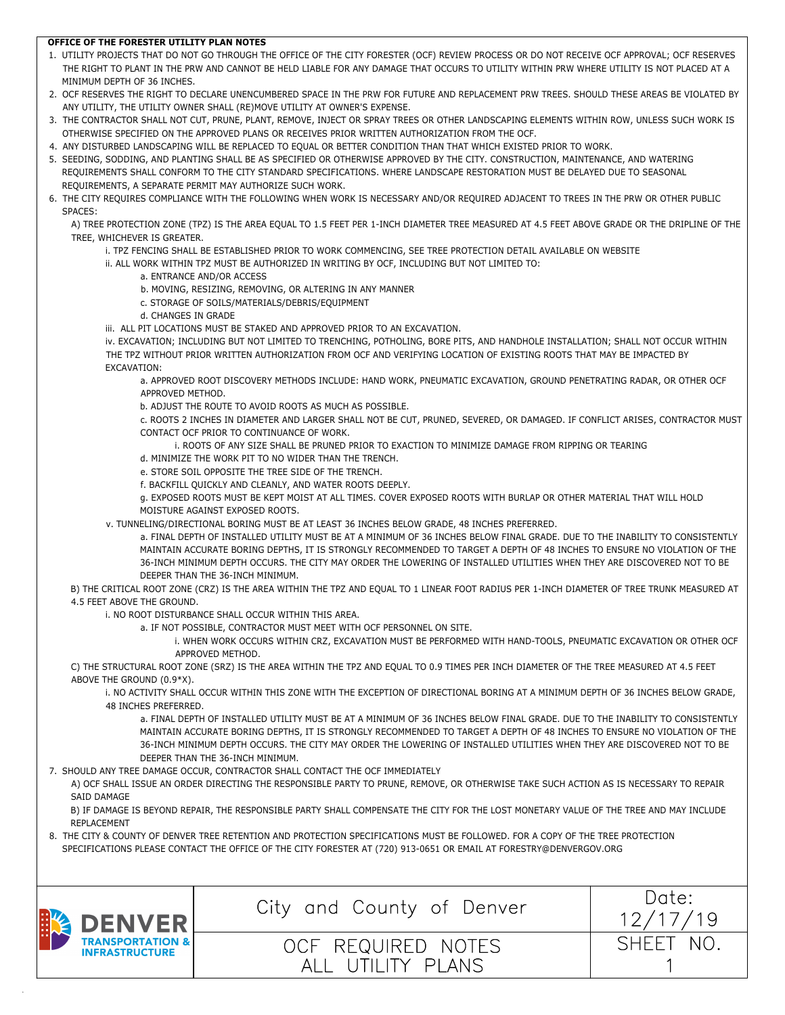# **OFFICE OF THE FORESTER UTILITY PLAN NOTES**

- 1. UTILITY PROJECTS THAT DO NOT GO THROUGH THE OFFICE OF THE CITY FORESTER (OCF) REVIEW PROCESS OR DO NOT RECEIVE OCF APPROVAL; OCF RESERVES THE RIGHT TO PLANT IN THE PRW AND CANNOT BE HELD LIABLE FOR ANY DAMAGE THAT OCCURS TO UTILITY WITHIN PRW WHERE UTILITY IS NOT PLACED AT A MINIMUM DEPTH OF 36 INCHES.
- 2. OCF RESERVES THE RIGHT TO DECLARE UNENCUMBERED SPACE IN THE PRW FOR FUTURE AND REPLACEMENT PRW TREES. SHOULD THESE AREAS BE VIOLATED BY ANY UTILITY, THE UTILITY OWNER SHALL (RE)MOVE UTILITY AT OWNER'S EXPENSE.
- 3. THE CONTRACTOR SHALL NOT CUT, PRUNE, PLANT, REMOVE, INJECT OR SPRAY TREES OR OTHER LANDSCAPING ELEMENTS WITHIN ROW, UNLESS SUCH WORK IS OTHERWISE SPECIFIED ON THE APPROVED PLANS OR RECEIVES PRIOR WRITTEN AUTHORIZATION FROM THE OCF.
- 4. ANY DISTURBED LANDSCAPING WILL BE REPLACED TO EQUAL OR BETTER CONDITION THAN THAT WHICH EXISTED PRIOR TO WORK.
- 5. SEEDING, SODDING, AND PLANTING SHALL BE AS SPECIFIED OR OTHERWISE APPROVED BY THE CITY. CONSTRUCTION, MAINTENANCE, AND WATERING REQUIREMENTS SHALL CONFORM TO THE CITY STANDARD SPECIFICATIONS. WHERE LANDSCAPE RESTORATION MUST BE DELAYED DUE TO SEASONAL REQUIREMENTS, A SEPARATE PERMIT MAY AUTHORIZE SUCH WORK.
- 6. THE CITY REQUIRES COMPLIANCE WITH THE FOLLOWING WHEN WORK IS NECESSARY AND/OR REQUIRED ADJACENT TO TREES IN THE PRW OR OTHER PUBLIC SPACES:

A) TREE PROTECTION ZONE (TPZ) IS THE AREA EQUAL TO 1.5 FEET PER 1-INCH DIAMETER TREE MEASURED AT 4.5 FEET ABOVE GRADE OR THE DRIPLINE OF THE TREE, WHICHEVER IS GREATER.

- i. TPZ FENCING SHALL BE ESTABLISHED PRIOR TO WORK COMMENCING, SEE TREE PROTECTION DETAIL AVAILABLE ON WEBSITE
- ii. ALL WORK WITHIN TPZ MUST BE AUTHORIZED IN WRITING BY OCF, INCLUDING BUT NOT LIMITED TO:
	- a. ENTRANCE AND/OR ACCESS
	- b. MOVING, RESIZING, REMOVING, OR ALTERING IN ANY MANNER
	- c. STORAGE OF SOILS/MATERIALS/DEBRIS/EQUIPMENT
	- d. CHANGES IN GRADE
- iii. ALL PIT LOCATIONS MUST BE STAKED AND APPROVED PRIOR TO AN EXCAVATION.

iv. EXCAVATION; INCLUDING BUT NOT LIMITED TO TRENCHING, POTHOLING, BORE PITS, AND HANDHOLE INSTALLATION; SHALL NOT OCCUR WITHIN THE TPZ WITHOUT PRIOR WRITTEN AUTHORIZATION FROM OCF AND VERIFYING LOCATION OF EXISTING ROOTS THAT MAY BE IMPACTED BY EXCAVATION:

a. APPROVED ROOT DISCOVERY METHODS INCLUDE: HAND WORK, PNEUMATIC EXCAVATION, GROUND PENETRATING RADAR, OR OTHER OCF APPROVED METHOD.

b. ADJUST THE ROUTE TO AVOID ROOTS AS MUCH AS POSSIBLE.

c. ROOTS 2 INCHES IN DIAMETER AND LARGER SHALL NOT BE CUT, PRUNED, SEVERED, OR DAMAGED. IF CONFLICT ARISES, CONTRACTOR MUST CONTACT OCF PRIOR TO CONTINUANCE OF WORK.

- i. ROOTS OF ANY SIZE SHALL BE PRUNED PRIOR TO EXACTION TO MINIMIZE DAMAGE FROM RIPPING OR TEARING
- d. MINIMIZE THE WORK PIT TO NO WIDER THAN THE TRENCH.
- e. STORE SOIL OPPOSITE THE TREE SIDE OF THE TRENCH.
- f. BACKFILL QUICKLY AND CLEANLY, AND WATER ROOTS DEEPLY.

g. EXPOSED ROOTS MUST BE KEPT MOIST AT ALL TIMES. COVER EXPOSED ROOTS WITH BURLAP OR OTHER MATERIAL THAT WILL HOLD MOISTURE AGAINST EXPOSED ROOTS.

v. TUNNELING/DIRECTIONAL BORING MUST BE AT LEAST 36 INCHES BELOW GRADE, 48 INCHES PREFERRED.

a. FINAL DEPTH OF INSTALLED UTILITY MUST BE AT A MINIMUM OF 36 INCHES BELOW FINAL GRADE. DUE TO THE INABILITY TO CONSISTENTLY MAINTAIN ACCURATE BORING DEPTHS, IT IS STRONGLY RECOMMENDED TO TARGET A DEPTH OF 48 INCHES TO ENSURE NO VIOLATION OF THE 36-INCH MINIMUM DEPTH OCCURS. THE CITY MAY ORDER THE LOWERING OF INSTALLED UTILITIES WHEN THEY ARE DISCOVERED NOT TO BE DEEPER THAN THE 36-INCH MINIMUM.

B) THE CRITICAL ROOT ZONE (CRZ) IS THE AREA WITHIN THE TPZ AND EQUAL TO 1 LINEAR FOOT RADIUS PER 1-INCH DIAMETER OF TREE TRUNK MEASURED AT 4.5 FEET ABOVE THE GROUND.

i. NO ROOT DISTURBANCE SHALL OCCUR WITHIN THIS AREA.

- a. IF NOT POSSIBLE, CONTRACTOR MUST MEET WITH OCF PERSONNEL ON SITE.
	- i. WHEN WORK OCCURS WITHIN CRZ, EXCAVATION MUST BE PERFORMED WITH HAND-TOOLS, PNEUMATIC EXCAVATION OR OTHER OCF APPROVED METHOD.

C) THE STRUCTURAL ROOT ZONE (SRZ) IS THE AREA WITHIN THE TPZ AND EQUAL TO 0.9 TIMES PER INCH DIAMETER OF THE TREE MEASURED AT 4.5 FEET ABOVE THE GROUND (0.9\*X).

i. NO ACTIVITY SHALL OCCUR WITHIN THIS ZONE WITH THE EXCEPTION OF DIRECTIONAL BORING AT A MINIMUM DEPTH OF 36 INCHES BELOW GRADE, 48 INCHES PREFERRED.

a. FINAL DEPTH OF INSTALLED UTILITY MUST BE AT A MINIMUM OF 36 INCHES BELOW FINAL GRADE. DUE TO THE INABILITY TO CONSISTENTLY MAINTAIN ACCURATE BORING DEPTHS, IT IS STRONGLY RECOMMENDED TO TARGET A DEPTH OF 48 INCHES TO ENSURE NO VIOLATION OF THE 36-INCH MINIMUM DEPTH OCCURS. THE CITY MAY ORDER THE LOWERING OF INSTALLED UTILITIES WHEN THEY ARE DISCOVERED NOT TO BE DEEPER THAN THE 36-INCH MINIMUM.

7. SHOULD ANY TREE DAMAGE OCCUR, CONTRACTOR SHALL CONTACT THE OCF IMMEDIATELY

A) OCF SHALL ISSUE AN ORDER DIRECTING THE RESPONSIBLE PARTY TO PRUNE, REMOVE, OR OTHERWISE TAKE SUCH ACTION AS IS NECESSARY TO REPAIR SAID DAMAGE

B) IF DAMAGE IS BEYOND REPAIR, THE RESPONSIBLE PARTY SHALL COMPENSATE THE CITY FOR THE LOST MONETARY VALUE OF THE TREE AND MAY INCLUDE REPLACEMENT

8. THE CITY & COUNTY OF DENVER TREE RETENTION AND PROTECTION SPECIFICATIONS MUST BE FOLLOWED. FOR A COPY OF THE TREE PROTECTION SPECIFICATIONS PLEASE CONTACT THE OFFICE OF THE CITY FORESTER AT (720) 913-0651 OR EMAIL AT FORESTRY@DENVERGOV.ORG

|  | DENVER<br><b>TRANSPORTATION &amp;</b><br><b>INFRASTRUCTURE</b> | City and County of Denver                   | Date:<br>/19 |
|--|----------------------------------------------------------------|---------------------------------------------|--------------|
|  |                                                                | OCF REQUIRED NOTES<br>UTILITY PLANS<br>AII. | SHEFT        |